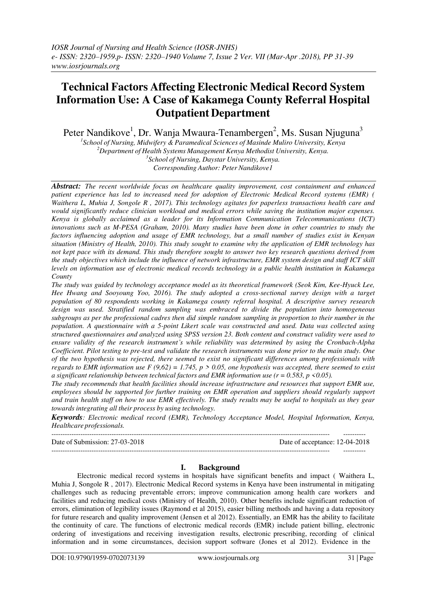# **Technical Factors Affecting Electronic Medical Record System Information Use: A Case of Kakamega County Referral Hospital Outpatient Department**

Peter Nandikove $^1$ , Dr. Wanja Mwaura-Tenambergen $^2$ , Ms. Susan Njuguna $^3$ 

 *School of Nursing, Midwifery & Paramedical Sciences of Masinde Muliro University, Kenya Department of Health Systems Management Kenya Methodist University, Kenya. School of Nursing, Daystar University, Kenya. Corresponding Author: Peter Nandikove1*

*Abstract: The recent worldwide focus on healthcare quality improvement, cost containment and enhanced patient experience has led to increased need for adoption of Electronic Medical Record systems (EMR) ( Waithera L, Muhia J, Songole R , 2017). This technology agitates for paperless transactions health care and would significantly reduce clinician workload and medical errors while saving the institution major expenses. Kenya is globally acclaimed as a leader for its Information Communication Telecommunications (ICT) innovations such as M-PESA (Graham, 2010). Many studies have been done in other countries to study the factors influencing adoption and usage of EMR technology, but a small number of studies exist in Kenyan situation (Ministry of Health, 2010). This study sought to examine why the application of EMR technology has not kept pace with its demand. This study therefore sought to answer two key research questions derived from the study objectives which include the influence of network infrastructure, EMR system design and staff ICT skill levels on information use of electronic medical records technology in a public health institution in Kakamega County*

*The study was guided by technology acceptance model as its theoretical framework (Seok Kim, Kee-Hyuck Lee, Hee Hwang and Sooyoung Yoo, 2016). The study adopted a cross-sectional survey design with a target population of 80 respondents working in Kakamega county referral hospital. A descriptive survey research design was used. Stratified random sampling was embraced to divide the population into homogeneous subgroups as per the professional cadres then did simple random sampling in proportion to their number in the population. A questionnaire with a 5-point Likert scale was constructed and used. Data was collected using structured questionnaires and analyzed using SPSS version 23. Both content and construct validity were used to ensure validity of the research instrument's while reliability was determined by using the Cronbach-Alpha Coefficient. Pilot testing to pre-test and validate the research instruments was done prior to the main study. One of the two hypothesis was rejected, there seemed to exist no significant differences among professionals with regards to EMR information use F (9,62) = 1.745, p > 0.05, one hypothesis was accepted, there seemed to exist a significant relationship between technical factors and EMR information use (r = 0.583, p <0.05).*

*The study recommends that health facilities should increase infrastructure and resources that support EMR use, employees should be supported for further training on EMR operation and suppliers should regularly support and train health staff on how to use EMR effectively. The study results may be useful to hospitals as they gear towards integrating all their process by using technology.*

*Keywords: Electronic medical record (EMR), Technology Acceptance Model, Hospital Information, Kenya, Healthcare professionals.*  $-1-\frac{1}{2}$ 

Date of Submission: 27-03-2018 Date of acceptance: 12-04-2018 ----------------------------------------------------------------------------------------------------------------------------- ----------

### **I. Background**

Electronic medical record systems in hospitals have significant benefits and impact ( Waithera L, Muhia J, Songole R , 2017). Electronic Medical Record systems in Kenya have been instrumental in mitigating challenges such as reducing preventable errors; improve communication among health care workers and facilities and reducing medical costs (Ministry of Health, 2010). Other benefits include significant reduction of errors, elimination of legibility issues (Raymond et al 2015), easier billing methods and having a data repository for future research and quality improvement (Jensen et al 2012). Essentially, an EMR has the ability to facilitate the continuity of care. The functions of electronic medical records (EMR) include patient billing, electronic ordering of investigations and receiving investigation results, electronic prescribing, recording of clinical information and in some circumstances, decision support software (Jones et al 2012). Evidence in the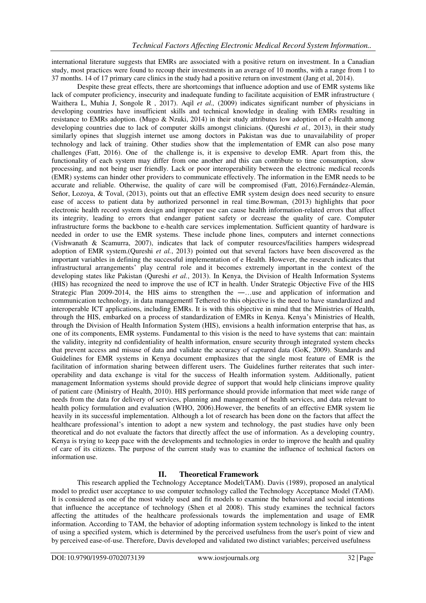international literature suggests that EMRs are associated with a positive return on investment. In a Canadian study, most practices were found to recoup their investments in an average of 10 months, with a range from 1 to 37 months. 14 of 17 primary care clinics in the study had a positive return on investment (Jang et al, 2014).

Despite these great effects, there are shortcomings that influence adoption and use of EMR systems like lack of computer proficiency, insecurity and inadequate funding to facilitate acquisition of EMR infrastructure ( Waithera L, Muhia J, Songole R , 2017). Aqil *et al.,* (2009) indicates significant number of physicians in developing countries have insufficient skills and technical knowledge in dealing with EMRs resulting in resistance to EMRs adoption. (Mugo & Nzuki, 2014) in their study attributes low adoption of e-Health among developing countries due to lack of computer skills amongst clinicians. (Qureshi *et al.,* 2013), in their study similarly opines that sluggish internet use among doctors in Pakistan was due to unavailability of proper technology and lack of training. Other studies show that the implementation of EMR can also pose many challenges (Fatt, 2016). One of the challenge is, it is expensive to develop EMR. Apart from this, the functionality of each system may differ from one another and this can contribute to time consumption, slow processing, and not being user friendly. Lack or poor interoperability between the electronic medical records (EMR) systems can hinder other providers to communicate effectively. The information in the EMR needs to be accurate and reliable. Otherwise, the quality of care will be compromised (Fatt, 2016).Fernández-Alemán, Señor, Lozoya, & Toval, (2013), points out that an effective EMR system design does need security to ensure ease of access to patient data by authorized personnel in real time.Bowman, (2013) highlights that poor electronic health record system design and improper use can cause health information-related errors that affect its integrity, leading to errors that endanger patient safety or decrease the quality of care. Computer infrastructure forms the backbone to e-health care services implementation. Sufficient quantity of hardware is needed in order to use the EMR systems. These include phone lines, computers and internet connections (Vishwanath & Scamurra, 2007), indicates that lack of computer resources/facilities hampers widespread adoption of EMR system.(Qureshi *et al.*, 2013) pointed out that several factors have been discovered as the important variables in defining the successful implementation of e Health. However, the research indicates that infrastructural arrangements' play central role and it becomes extremely important in the context of the developing states like Pakistan (Qureshi *et al.*, 2013). In Kenya, the Division of Health Information Systems (HIS) has recognized the need to improve the use of ICT in health. Under Strategic Objective Five of the HIS Strategic Plan 2009-2014, the HIS aims to strengthen the ―…use and application of information and communication technology, in data management‖ Tethered to this objective is the need to have standardized and interoperable ICT applications, including EMRs. It is with this objective in mind that the Ministries of Health, through the HIS, embarked on a process of standardization of EMRs in Kenya. Kenya's Ministries of Health, through the Division of Health Information System (HIS), envisions a health information enterprise that has, as one of its components, EMR systems. Fundamental to this vision is the need to have systems that can: maintain the validity, integrity nd confidentiality of health information, ensure security through integrated system checks that prevent access and misuse of data and validate the accuracy of captured data (GoK, 2009). Standards and Guidelines for EMR systems in Kenya document emphasizes that the single most feature of EMR is the facilitation of information sharing between different users. The Guidelines further reiterates that such interoperability and data exchange is vital for the success of Health information system. Additionally, patient management Information systems should provide degree of support that would help clinicians improve quality of patient care (Ministry of Health, 2010). HIS performance should provide information that meet wide range of needs from the data for delivery of services, planning and management of health services, and data relevant to health policy formulation and evaluation (WHO, 2006).However, the benefits of an effective EMR system lie heavily in its successful implementation. Although a lot of research has been done on the factors that affect the healthcare professional's intention to adopt a new system and technology, the past studies have only been theoretical and do not evaluate the factors that directly affect the use of information. As a developing country, Kenya is trying to keep pace with the developments and technologies in order to improve the health and quality of care of its citizens. The purpose of the current study was to examine the influence of technical factors on information use.

## **II. Theoretical Framework**

This research applied the Technology Acceptance Model(TAM). Davis (1989), proposed an analytical model to predict user acceptance to use computer technology called the Technology Acceptance Model (TAM). It is considered as one of the most widely used and fit models to examine the behavioral and social intentions that influence the acceptance of technology (Shen et al 2008). This study examines the technical factors affecting the attitudes of the healthcare professionals towards the implementation and usage of EMR information. According to TAM, the behavior of adopting information system technology is linked to the intent of using a specified system, which is determined by the perceived usefulness from the user's point of view and by perceived ease-of-use. Therefore, Davis developed and validated two distinct variables; perceived usefulness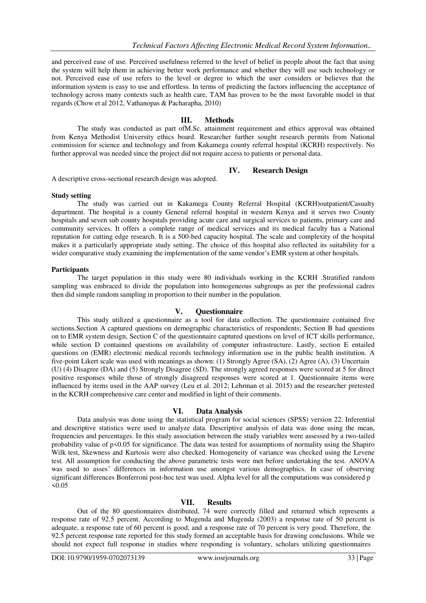and perceived ease of use. Perceived usefulness referred to the level of belief in people about the fact that using the system will help them in achieving better work performance and whether they will use such technology or not. Perceived ease of use refers to the level or degree to which the user considers or believes that the information system is easy to use and effortless. In terms of predicting the factors influencing the acceptance of technology across many contexts such as health care, TAM has proven to be the most favorable model in that regards (Chow et al 2012, Vathanopas & Pacharapha, 2010)

### **III. Methods**

The study was conducted as part ofM.Sc. attainment requirement and ethics approval was obtained from Kenya Methodist University ethics board. Researcher further sought research permits from National commission for science and technology and from Kakamega county referral hospital (KCRH) respectively. No further approval was needed since the project did not require access to patients or personal data.

### **IV. Research Design**

A descriptive cross-sectional research design was adopted.

### **Study setting**

The study was carried out in Kakamega County Referral Hospital (KCRH)outpatient/Casualty department. The hospital is a county General referral hospital in western Kenya and it serves two County hospitals and seven sub county hospitals providing acute care and surgical services to patients, primary care and community services. It offers a complete range of medical services and its medical faculty has a National reputation for cutting edge research. It is a 500-bed capacity hospital. The scale and complexity of the hospital makes it a particularly appropriate study setting. The choice of this hospital also reflected its suitability for a wider comparative study examining the implementation of the same vendor's EMR system at other hospitals.

### **Participants**

The target population in this study were 80 individuals working in the KCRH .Stratified random sampling was embraced to divide the population into homogeneous subgroups as per the professional cadres then did simple random sampling in proportion to their number in the population.

### **V. Questionnaire**

This study utilized a questionnaire as a tool for data collection. The questionnaire contained five sections.Section A captured questions on demographic characteristics of respondents; Section B had questions on to EMR system design, Section C of the questionnaire captured questions on level of ICT skills performance, while section D contained questions on availability of computer infrastructure. Lastly, section E entailed questions on (EMR) electronic medical records technology information use in the public health institution. A five-point Likert scale was used with meanings as shown: (1) Strongly Agree (SA), (2) Agree (A), (3) Uncertain (U) (4) Disagree (DA) and (5) Strongly Disagree (SD). The strongly agreed responses were scored at 5 for direct positive responses while those of strongly disagreed responses were scored at 1. Questionnaire items were influenced by items used in the AAP survey (Leu et al. 2012; Lehrman et al. 2015) and the researcher pretested in the KCRH comprehensive care center and modified in light of their comments.

### **VI. Data Analysis**

Data analysis was done using the statistical program for social sciences (SPSS) version 22. Inferential and descriptive statistics were used to analyze data. Descriptive analysis of data was done using the mean, frequencies and percentages. In this study association between the study variables were assessed by a two-tailed probability value of p<0.05 for significance. The data was tested for assumptions of normality using the Shapiro Wilk test, Skewness and Kurtosis were also checked. Homogeneity of variance was checked using the Levene test. All assumption for conducting the above parametric tests were met before undertaking the test. ANOVA was used to asses' differences in information use amongst various demographics. In case of observing significant differences Bonferroni post-hoc test was used. Alpha level for all the computations was considered p  $< 0.05$ 

### **VII. Results**

Out of the 80 questionnaires distributed, 74 were correctly filled and returned which represents a response rate of 92.5 percent. According to Mugenda and Mugenda (2003) a response rate of 50 percent is adequate, a response rate of 60 percent is good, and a response rate of 70 percent is very good. Therefore, the 92.5 percent response rate reported for this study formed an acceptable basis for drawing conclusions. While we should not expect full response in studies where responding is voluntary, scholars utilizing questionnaires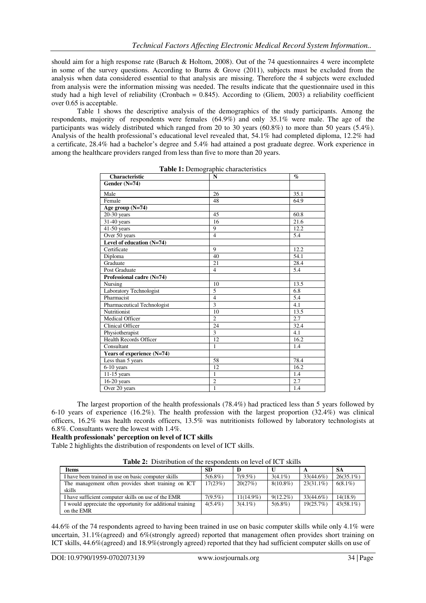should aim for a high response rate (Baruch & Holtom, 2008). Out of the 74 questionnaires 4 were incomplete in some of the survey questions. According to Burns & Grove (2011), subjects must be excluded from the analysis when data considered essential to that analysis are missing. Therefore the 4 subjects were excluded from analysis were the information missing was needed. The results indicate that the questionnaire used in this study had a high level of reliability (Cronbach =  $0.845$ ). According to (Gliem, 2003) a reliability coefficient over 0.65 is acceptable.

Table 1 shows the descriptive analysis of the demographics of the study participants. Among the respondents, majority of respondents were females (64.9%) and only 35.1% were male. The age of the participants was widely distributed which ranged from 20 to 30 years (60.8%) to more than 50 years (5.4%). Analysis of the health professional's educational level revealed that, 54.1% had completed diploma, 12.2% had a certificate, 28.4% had a bachelor's degree and 5.4% had attained a post graduate degree. Work experience in among the healthcare providers ranged from less than five to more than 20 years.

| <b>Characteristic</b>         | N              | $\mathcal{G}_{\mathcal{O}}$ |
|-------------------------------|----------------|-----------------------------|
| Gender (N=74)                 |                |                             |
| Male                          | 26             | 35.1                        |
| Female                        | 48             | 64.9                        |
| Age group (N=74)              |                |                             |
| $20-30$ years                 | 45             | 60.8                        |
| 31-40 years                   | 16             | 21.6                        |
| $41-50$ years                 | 9              | 12.2                        |
| Over 50 years                 | $\overline{4}$ | 5.4                         |
| Level of education (N=74)     |                |                             |
| Certificate                   | 9              | 12.2                        |
| Diploma                       | 40             | 54.1                        |
| Graduate                      | 21             | 28.4                        |
| Post Graduate                 | $\overline{4}$ | 5.4                         |
| Professional cadre (N=74)     |                |                             |
| Nursing                       | 10             | 13.5                        |
| Laboratory Technologist       | 5              | 6.8                         |
| Pharmacist                    | $\overline{4}$ | 5.4                         |
| Pharmaceutical Technologist   | 3              | 4.1                         |
| <b>Nutritionist</b>           | 10             | 13.5                        |
| Medical Officer               | $\overline{2}$ | 2.7                         |
| Clinical Officer              | 24             | 32.4                        |
| Physiotherapist               | 3              | 4.1                         |
| <b>Health Records Officer</b> | 12             | 16.2                        |
| Consultant                    | $\mathbf{1}$   | 1.4                         |
| Years of experience (N=74)    |                |                             |
| Less than 5 years             | 58             | 78.4                        |
| $6-10$ years                  | 12             | 16.2                        |
| $11-15$ years                 | $\mathbf{1}$   | 1.4                         |
| $16-20$ years                 | $\overline{2}$ | 2.7                         |
| Over 20 years                 | 1              | 1.4                         |

| Table 1: Demographic characteristics |
|--------------------------------------|
|--------------------------------------|

The largest proportion of the health professionals (78.4%) had practiced less than 5 years followed by 6-10 years of experience (16.2%). The health profession with the largest proportion (32.4%) was clinical officers, 16.2% was health records officers, 13.5% was nutritionists followed by laboratory technologists at 6.8%. Consultants were the lowest with 1.4%.

## **Health professionals' perception on level of ICT skills**

Table 2 highlights the distribution of respondents on level of ICT skills.

**Table 2:** Distribution of the respondents on level of ICT skills

| <b>Items</b>                                               | <b>SD</b>  |            |             |              | <b>SA</b>    |
|------------------------------------------------------------|------------|------------|-------------|--------------|--------------|
| I have been trained in use on basic computer skills        | $5(6.8\%)$ | $7(9.5\%)$ | $3(4.1\%)$  | $33(44.6\%)$ | $26(35.1\%)$ |
| The management often provides short training on ICT        | 17(23%)    | 20(27%)    | $8(10.8\%)$ | $23(31.1\%)$ | $6(8.1\%)$   |
| skills                                                     |            |            |             |              |              |
| I have sufficient computer skills on use of the EMR        | $7(9.5\%)$ | 11(14.9%)  | $9(12.2\%)$ | 33(44.6%)    | 14(18.9)     |
| I would appreciate the opportunity for additional training | $4(5.4\%)$ | $3(4.1\%)$ | $5(6.8\%)$  | 19(25.7%)    | $43(58.1\%)$ |
| on the EMR                                                 |            |            |             |              |              |

44.6% of the 74 respondents agreed to having been trained in use on basic computer skills while only 4.1% were uncertain, 31.1% (agreed) and 6% (strongly agreed) reported that management often provides short training on ICT skills, 44.6%(agreed) and 18.9%(strongly agreed) reported that they had sufficient computer skills on use of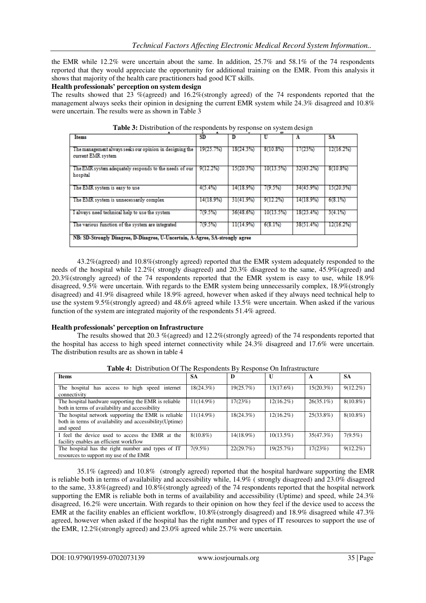the EMR while 12.2% were uncertain about the same. In addition, 25.7% and 58.1% of the 74 respondents reported that they would appreciate the opportunity for additional training on the EMR. From this analysis it shows that majority of the health care practitioners had good ICT skills.

### **Health professionals' perception on system design**

The results showed that 23 %(agreed) and 16.2%(strongly agreed) of the 74 respondents reported that the management always seeks their opinion in designing the current EMR system while 24.3% disagreed and 10.8% were uncertain. The results were as shown in Table 3

| ж                                                                              |           |           | ۔ ۔       |           |           |
|--------------------------------------------------------------------------------|-----------|-----------|-----------|-----------|-----------|
| <b>Items</b>                                                                   | <b>SD</b> | D         |           | A         | SA        |
| The management always seeks our opinion in designing the<br>current EMR system | 19(25.7%) | 18(24.3%) | 8(10.8%)  | 17(23%)   | 12(16.2%) |
| The EMR system adequately responds to the needs of our<br>hospital             | 9(12.2%)  | 15(20.3%) | 10(13.5%) | 32(43.2%) | 8(10.8%)  |
| The EMR system is easy to use                                                  | 4(5.4%)   | 14(18.9%) | 7(9.5%)   | 34(45.9%) | 15(20.3%) |
| The EMR system is unnecessarily complex                                        | 14(18.9%) | 31(41.9%) | 9(12.2%)  | 14(18.9%) | 6(8.1%)   |
| I always need technical help to use the system                                 | (9.5%)    | 36(48.6%) | 10(13.5%) | 18(23.4%) | 3(4.1%)   |
| The various function of the system are integrated                              | $(9.5\%)$ | 11(14.9%) | 6(8.1%)   | 38(51.4%) | 12(16.2%) |
| NB: SD-Strongly Disagree, D-Disagree, U-Uncertain, A-Agree, SA-strongly agree  |           |           |           |           |           |

**Table 3:** Distribution of the respondents by response on system design

43.2%(agreed) and 10.8%(strongly agreed) reported that the EMR system adequately responded to the needs of the hospital while 12.2%( strongly disagreed) and 20.3% disagreed to the same, 45.9%(agreed) and 20.3%(strongly agreed) of the 74 respondents reported that the EMR system is easy to use, while 18.9% disagreed, 9.5% were uncertain. With regards to the EMR system being unnecessarily complex, 18.9%(strongly disagreed) and 41.9% disagreed while 18.9% agreed, however when asked if they always need technical help to use the system 9.5%(strongly agreed) and 48.6% agreed while 13.5% were uncertain. When asked if the various function of the system are integrated majority of the respondents 51.4% agreed.

### **Health professionals' perception on Infrastructure**

The results showed that 20.3 %(agreed) and 12.2%(strongly agreed) of the 74 respondents reported that the hospital has access to high speed internet connectivity while 24.3% disagreed and 17.6% were uncertain. The distribution results are as shown in table 4

| <b>Items</b>                                                                                                                | <b>SA</b>    | D            | U            | A            | <b>SA</b>   |
|-----------------------------------------------------------------------------------------------------------------------------|--------------|--------------|--------------|--------------|-------------|
| The hospital has access to high speed internet<br>connectivity                                                              | 18(24.3%)    | 19(25.7%)    | $13(17.6\%)$ | 15(20.3%)    | $9(12.2\%)$ |
| The hospital hardware supporting the EMR is reliable<br>both in terms of availability and accessibility                     | $11(14.9\%)$ | 17(23%)      | $12(16.2\%)$ | $26(35.1\%)$ | $8(10.8\%)$ |
| The hospital network supporting the EMR is reliable<br>both in terms of availability and accessibility(Uptime)<br>and speed | 11(14.9%)    | $18(24.3\%)$ | $12(16.2\%)$ | $25(33.8\%)$ | $8(10.8\%)$ |
| I feel the device used to access the EMR at the<br>facility enables an efficient workflow                                   | $8(10.8\%)$  | $14(18.9\%)$ | $10(13.5\%)$ | 35(47.3%)    | $7(9.5\%)$  |
| The hospital has the right number and types of IT<br>resources to support my use of the EMR                                 | $7(9.5\%)$   | 22(29.7%)    | 19(25.7%)    | 17(23%)      | $9(12.2\%)$ |

**Table 4:** Distribution Of The Respondents By Response On Infrastructure

35.1% (agreed) and 10.8% (strongly agreed) reported that the hospital hardware supporting the EMR is reliable both in terms of availability and accessibility while, 14.9% ( strongly disagreed) and 23.0% disagreed to the same, 33.8%(agreed) and 10.8%(strongly agreed) of the 74 respondents reported that the hospital network supporting the EMR is reliable both in terms of availability and accessibility (Uptime) and speed, while 24.3% disagreed, 16.2% were uncertain. With regards to their opinion on how they feel if the device used to access the EMR at the facility enables an efficient workflow, 10.8%(strongly disagreed) and 18.9% disagreed while 47.3% agreed, however when asked if the hospital has the right number and types of IT resources to support the use of the EMR, 12.2%(strongly agreed) and 23.0% agreed while 25.7% were uncertain.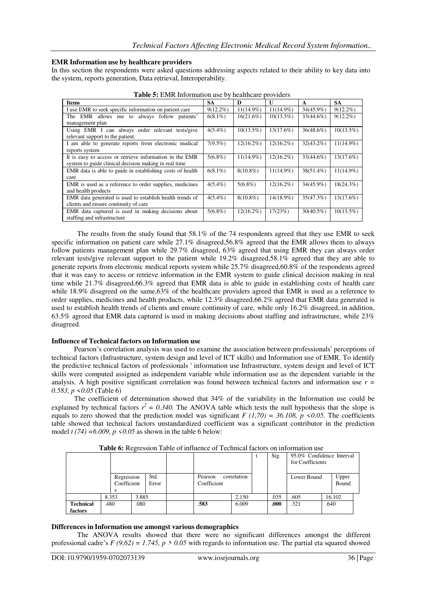### **EMR Information use by healthcare providers**

In this section the respondents were asked questions addressing aspects related to their ability to key data into the system, reports generation, Data retrieval, Interoperability.

| $\frac{1}{2}$                                             |             |              |              |              |              |  |  |  |
|-----------------------------------------------------------|-------------|--------------|--------------|--------------|--------------|--|--|--|
| <b>Items</b>                                              | <b>SA</b>   | D            | U            | A            | <b>SA</b>    |  |  |  |
| I use EMR to seek specific information on patient care    | $9(12.2\%)$ | $11(14.9\%)$ | $11(14.9\%)$ | $34(45.9\%)$ | $9(12.2\%)$  |  |  |  |
| The EMR allows me to always follow patients'              | $6(8.1\%)$  | 16(21.6%)    | $10(13.5\%)$ | 33(44.6%)    | $9(12.2\%)$  |  |  |  |
| management plan                                           |             |              |              |              |              |  |  |  |
| Using EMR I can always order relevant tests/give          | $4(5.4\%)$  | $10(13.5\%)$ | $13(17.6\%)$ | 36(48.6%)    | $10(13.5\%)$ |  |  |  |
| relevant support to the patient.                          |             |              |              |              |              |  |  |  |
| I am able to generate reports from electronic medical     | $7(9.5\%)$  | $12(16.2\%)$ | $12(16.2\%)$ | 32(43.2%)    | $11(14.9\%)$ |  |  |  |
| reports system                                            |             |              |              |              |              |  |  |  |
| It is easy to access or retrieve information in the EMR   | $5(6.8\%)$  | $11(14.9\%)$ | $12(16.2\%)$ | 33(44.6%)    | $13(17.6\%)$ |  |  |  |
| system to guide clinical decision making in real time     |             |              |              |              |              |  |  |  |
| EMR data is able to guide in establishing costs of health | $6(8.1\%)$  | $8(10.8\%)$  | $11(14.9\%)$ | 38(51.4%)    | $11(14.9\%)$ |  |  |  |
| care                                                      |             |              |              |              |              |  |  |  |
| EMR is used as a reference to order supplies, medicines   | $4(5.4\%)$  | $5(6.8\%)$   | $12(16.2\%)$ | 34(45.9%)    | $18(24.3\%)$ |  |  |  |
| and health products                                       |             |              |              |              |              |  |  |  |
| EMR data generated is used to establish health trends of  | $4(5.4\%)$  | $8(10.8\%)$  | 14(18.9%)    | 35(47.3%)    | 13(17.6%)    |  |  |  |
| clients and ensure continuity of care                     |             |              |              |              |              |  |  |  |
| EMR data captured is used in making decisions about       | $5(6.8\%)$  | $12(16.2\%)$ | 17(23%)      | $30(40.5\%)$ | $10(13.5\%)$ |  |  |  |
| staffing and infrastructure                               |             |              |              |              |              |  |  |  |

**Table 5:** EMR Information use by healthcare providers

The results from the study found that 58.1% of the 74 respondents agreed that they use EMR to seek specific information on patient care while 27.1% disagreed,56.8% agreed that the EMR allows them to always follow patients management plan while 29.7% disagreed, 63% agreed that using EMR they can always order relevant tests/give relevant support to the patient while 19.2% disagreed,58.1% agreed that they are able to generate reports from electronic medical reports system while 25.7% disagreed,60.8% of the respondents agreed that it was easy to access or retrieve information in the EMR system to guide clinical decision making in real time while 21.7% disagreed,66.3% agreed that EMR data is able to guide in establishing costs of health care while 18.9% disagreed on the same,63% of the healthcare providers agreed that EMR is used as a reference to order supplies, medicines and health products, while 12.3% disagreed,66.2% agreed that EMR data generated is used to establish health trends of clients and ensure continuity of care, while only 16.2% disagreed, in addition, 63.5% agreed that EMR data captured is used in making decisions about staffing and infrastructure, while 23% disagreed.

### **Influence of Technical factors on Information use**

Pearson's correlation analysis was used to examine the association between professionals' perceptions of technical factors (Infrastructure, system design and level of ICT skills) and Information use of EMR. To identify the predictive technical factors of professionals ' information use Infrastructure, system design and level of ICT skills were computed assigned as independent variable while information use as the dependent variable in the analysis. A high positive significant correlation was found between technical factors and information use *r = 0.583, p <0.05* (Table 6)

The coefficient of determination showed that 34% of the variability in the Information use could be explained by technical factors  $r^2 = 0.340$ . The ANOVA table which tests the null hypothesis that the slope is equals to zero showed that the prediction model was significant  $F(1,70) = 36.108$ ,  $p \le 0.05$ . The coefficients table showed that technical factors unstandardized coefficient was a significant contributor in the prediction model  $t$  (74) = 6.009,  $p \le 0.05$  as shown in the table 6 below:

|                  |       |                           |                                                        |  |      | Sig.  | 95.0% Confidence Interval<br>for Coefficients |             |      |                |
|------------------|-------|---------------------------|--------------------------------------------------------|--|------|-------|-----------------------------------------------|-------------|------|----------------|
|                  |       | Regression<br>Coefficient | Std.<br>correlation<br>Pearson<br>Coefficient<br>Error |  |      |       |                                               | Lower Bound |      | Upper<br>Bound |
|                  | 8.353 | 3.885                     |                                                        |  |      | 2.150 | .035                                          | .605        |      | 16.102         |
| <b>Technical</b> | .480  | .080                      |                                                        |  | .583 | 6.009 | .000                                          | .321        | .640 |                |
| factors          |       |                           |                                                        |  |      |       |                                               |             |      |                |

**Table 6:** Regression Table of influence of Technical factors on information use

### **Differences in Information use amongst various demographics**

The ANOVA results showed that there were no significant differences amongst the different professional cadre's *F (9,62) = 1.745, p > 0.05* with regards to information use. The partial eta squared showed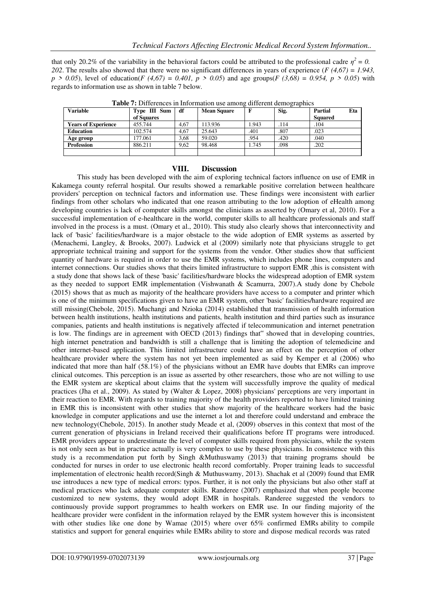that only 20.2% of the variability in the behavioral factors could be attributed to the professional cadre  $\eta^2 = 0$ . *202*. The results also showed that there were no significant differences in years of experience (*F (4,67) = 1.943, p > 0.05*), level of education(*F (4,67)* = *0.401, p > 0.05*) and age groups(*F (3,68)* = *0.954, p > 0.05*) with regards to information use as shown in table 7 below.

| <b>Variable</b>            | Type III Sum | df   | <b>Mean Square</b> |       | Sig. | Partial        | Eta |
|----------------------------|--------------|------|--------------------|-------|------|----------------|-----|
|                            | of Squares   |      |                    |       |      | <b>Squared</b> |     |
| <b>Years of Experience</b> | 455.744      | 4,67 | 13.936             | 1.943 | .114 | .104           |     |
| <b>Education</b>           | 102.574      | 4,67 | 25.643             | .401  | .807 | .023           |     |
| Age group                  | 177.061      | 3.68 | 59.020             | .954  | .420 | .040           |     |
| <b>Profession</b>          | 886.211      | 9.62 | 98.468             | 1.745 | .098 | .202           |     |
|                            |              |      |                    |       |      |                |     |

**Table 7:** Differences in Information use among different demographics

### **VIII. Discussion**

This study has been developed with the aim of exploring technical factors influence on use of EMR in Kakamega county referral hospital. Our results showed a remarkable positive correlation between healthcare providers' perception on technical factors and information use. These findings were inconsistent with earlier findings from other scholars who indicated that one reason attributing to the low adoption of eHealth among developing countries is lack of computer skills amongst the clinicians as asserted by (Omary et al, 2010). For a successful implementation of e-healthcare in the world, computer skills to all healthcare professionals and staff involved in the process is a must. (Omary et al., 2010). This study also clearly shows that interconnectivity and lack of 'basic' facilities/hardware is a major obstacle to the wide adoption of EMR systems as asserted by (Menachemi, Langley, & Brooks, 2007). Ludwick et al (2009) similarly note that physicians struggle to get appropriate technical training and support for the systems from the vendor. Other studies show that sufficient quantity of hardware is required in order to use the EMR systems, which includes phone lines, computers and internet connections. Our studies shows that theirs limited infrastructure to support EMR ,this is consistent with a study done that shows lack of these 'basic' facilities/hardware blocks the widespread adoption of EMR system as they needed to support EMR implementation (Vishwanath & Scamurra, 2007).A study done by Chebole (2015) shows that as much as majority of the healthcare providers have access to a computer and printer which is one of the minimum specifications given to have an EMR system, other 'basic' facilities/hardware required are still missing(Chebole, 2015). Muchangi and Nzioka (2014) established that transmission of health information between health institutions, health institutions and patients, health institution and third parties such as insurance companies, patients and health institutions is negatively affected if telecommunication and internet penetration is low. The findings are in agreement with OECD (2013) findings that" showed that in developing countries, high internet penetration and bandwidth is still a challenge that is limiting the adoption of telemedicine and other internet-based application. This limited infrastructure could have an effect on the perception of other healthcare provider where the system has not yet been implemented as said by Kemper et al (2006) who indicated that more than half (58.1%) of the physicians without an EMR have doubts that EMRs can improve clinical outcomes. This perception is an issue as asserted by other researchers, those who are not willing to use the EMR system are skeptical about claims that the system will successfully improve the quality of medical practices (Jha et al., 2009). As stated by (Walter & Lopez, 2008) physicians' perceptions are very important in their reaction to EMR. With regards to training majority of the health providers reported to have limited training in EMR this is inconsistent with other studies that show majority of the healthcare workers had the basic knowledge in computer applications and use the internet a lot and therefore could understand and embrace the new technology(Chebole, 2015). In another study Meade et al, (2009) observes in this context that most of the current generation of physicians in Ireland received their qualifications before IT programs were introduced. EMR providers appear to underestimate the level of computer skills required from physicians, while the system is not only seen as but in practice actually is very complex to use by these physicians. In consistence with this study is a recommendation put forth by Singh &Muthuswamy (2013) that training programs should be conducted for nurses in order to use electronic health record comfortably. Proper training leads to successful implementation of electronic health record(Singh & Muthuswamy, 2013). Shachak et al (2009) found that EMR use introduces a new type of medical errors: typos. Further, it is not only the physicians but also other staff at medical practices who lack adequate computer skills. Randeree (2007) emphasized that when people become customized to new systems, they would adopt EMR in hospitals. Randeree suggested the vendors to continuously provide support programmes to health workers on EMR use. In our finding majority of the healthcare provider were confident in the information relayed by the EMR system however this is inconsistent with other studies like one done by Wamae (2015) where over 65% confirmed EMRs ability to compile statistics and support for general enquiries while EMRs ability to store and dispose medical records was rated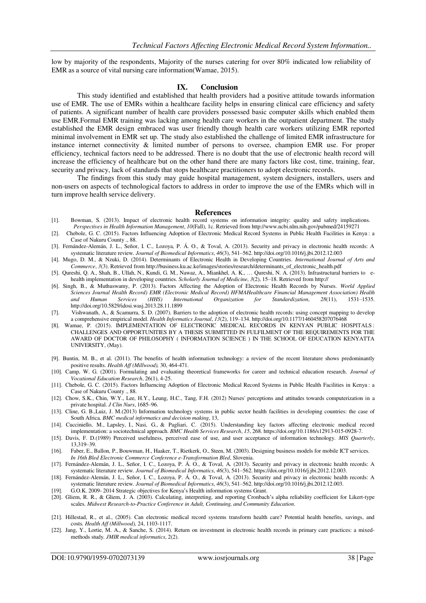low by majority of the respondents, Majority of the nurses catering for over 80% indicated low reliability of EMR as a source of vital nursing care information(Wamae, 2015).

#### **IX. Conclusion**

This study identified and established that health providers had a positive attitude towards information use of EMR. The use of EMRs within a healthcare facility helps in ensuring clinical care efficiency and safety of patients. A significant number of health care providers possessed basic computer skills which enabled them use EMR.Formal EMR training was lacking among health care workers in the outpatient department. The study established the EMR design embraced was user friendly though health care workers utilizing EMR reported minimal involvement in EMR set up. The study also established the challenge of limited EMR infrastructure for instance internet connectivity & limited number of persons to oversee, champion EMR use. For proper efficiency, technical factors need to be addressed. There is no doubt that the use of electronic health record will increase the efficiency of healthcare but on the other hand there are many factors like cost, time, training, fear, security and privacy, lack of standards that stops healthcare practitioners to adopt electronic records.

The findings from this study may guide hospital management, system designers, installers, users and non-users on aspects of technological factors to address in order to improve the use of the EMRs which will in turn improve health service delivery.

#### **References**

- [1]. Bowman, S. (2013). Impact of electronic health record systems on information integrity: quality and safety implications. *Perspectives in Health Information Management*, *10*(Fall), 1c. Retrieved fr[om http://www.ncbi.nlm.nih.gov/pubmed/24159271](http://www.ncbi.nlm.nih.gov/pubmed/24159271)
- [2]. Chebole, G. C. (2015). Factors Influencing Adoption of Electronic Medical Record Systems in Public Health Facilities in Kenya : a Case of Nakuru County ., 88.
- [3]. Fernández-Alemán, J. L., Señor, I. C., Lozoya, P. Á. O., & Toval, A. (2013). Security and privacy in electronic health records: A systematic literature review. *Journal of Biomedical Informatics*, *46*(3), 541–562[. http://doi.org/10.1016/j.jbi.2012.12.003](http://doi.org/10.1016/j.jbi.2012.12.003)
- [4]. Mugo, D. M., & Nzuki, D. (2014). Determinants of Electronic Health in Developing Countries. *International Journal of Arts and Commerce*, *3*(3). Retrieved fr[om http://business.ku.ac.ke/images/stories/research/determinants\\_of\\_electronic\\_health.pdf](http://business.ku.ac.ke/images/stories/research/determinants_of_electronic_health.pdf)
- [5]. Qureshi, Q. A., Shah, B., Ullah, N., Kundi, G. M., Nawaz, A., Miankhel, A. K., … Qureshi, N. A. (2013). Infrastructural barriers to ehealth implementation in developing countries. *Scholarly Journal of Medicine*, *3*(2), 15–18. Retrieved from http://
- [6]. Singh, B., & Muthuswamy, P. (2013). Factors Affecting the Adoption of Electronic Health Records by Nurses. *World Applied Sciences Journal Health Record) EMR (Electronic Medical Record) HFMAHealthcare Financial Management Association) Health and Human Services (HHS) International Organization for Standardization*, *28*(11), 1531–153[5.](http://doi.org/10.5829/idosi.wasj.2013.28.11.1899) <http://doi.org/10.5829/idosi.wasj.2013.28.11.1899>
- [7]. Vishwanath, A., & Scamurra, S. D. (2007). Barriers to the adoption of electronic health records: using concept mapping to develop a comprehensive empirical model. *Health Informatics Journal*, *13*(2), 119–134[. http://doi.org/10.1177/1460458207076468](http://doi.org/10.1177/1460458207076468)
- [8]. Wamae, P. (2015). IMPLEMENTATION OF ELECTRONIC MEDICAL RECORDS IN KENYAN PUBLIC HOSPITALS : CHALLENGES AND OPPORTUNITIES BY A THESIS SUBMITTED IN FULFILMENT OF THE REQUIREMENTS FOR THE AWARD OF DOCTOR OF PHILOSOPHY ( INFORMATION SCIENCE ) IN THE SCHOOL OF EDUCATION KENYATTA UNIVERSITY, (May).
- [9]. Buntin, M. B., et al. (2011). The benefits of health information technology: a review of the recent literature shows predominantly positive results. *Health Aff (Millwood),* 30, 464-471.
- [10]. Camp, W. G. (2001). Formulating and evaluating theoretical frameworks for career and technical education research. *Journal of Vocational Education Research*, 26(1), 4-25.
- [11]. Chebole, G. C. (2015). Factors Influencing Adoption of Electronic Medical Record Systems in Public Health Facilities in Kenya : a Case of Nakuru County ., 88.
- [12]. Chow, S.K., Chin, W.Y., Lee, H.Y., Leung, H.C., Tang, F.H. (2012) Nurses' perceptions and attitudes towards computerization in a private hospital. *J Clin Nurs*, 1685–96.
- [13]. Cline, G. B.,Luiz, J. M.(2013) Information technology systems in public sector health facilities in developing countries: the case of South Africa*. BMC medical informatics and decision making*, 13,
- [14]. Cucciniello, M., Lapsley, I., Nasi, G., & Pagliari, C. (2015). Understanding key factors affecting electronic medical record implementation: a sociotechnical approach. *BMC Health Services Research*, *15*, 268. https://doi.org/10.1186/s12913-015-0928-7.
- [15]. Davis, F. D.(1989) Perceived usefulness, perceived ease of use, and user acceptance of information technology. *MIS Quarterly*, 13,319–39.
- [16]. Faber, E., Ballon, P., Bouwman, H., Haaker, T., Rietkerk, O., Steen, M. (2003). Designing business models for mobile ICT services. *In 16th Bled Electronic Commerce Conference e-Transformation Bled*, Slovenia.
- [17]. Fernández-Alemán, J. L., Señor, I. C., Lozoya, P. Á. O., & Toval, A. (2013). Security and privacy in electronic health records: A systematic literature review. *Journal of Biomedical Informatics*, *46*(3), 541–562. https://doi.org/10.1016/j.jbi.2012.12.003.
- [18]. Fernández-Alemán, J. L., Señor, I. C., Lozoya, P. Á. O., & Toval, A. (2013). Security and privacy in electronic health records: A systematic literature review. *Journal of Biomedical Informatics*, *46*(3), 541–562[. http://doi.org/10.1016/j.jbi.2012.12.003.](http://doi.org/10.1016/j.jbi.2012.12.003)
- [19]. G.O.K. 2009- 2014 Strategic objectives for Kenya's Health information systems Grant.
- [20]. Gliem, R. R., & Gliem, J. A. (2003). Calculating, interpreting, and reporting Cronbach's alpha reliability coefficient for Likert-type scales. *Midwest Research-to-Practice Conference in Adult, Continuing, and Community Education*.
- [21]. Hillestad, R., et al., (2005). Can electronic medical record systems transform health care? Potential health benefits, savings, and costs*. Health Aff (Millwood),* 24, 1103-1117.
- [22]. Jang, Y., Lortie, M. A., & Sanche, S. (2014). Return on investment in electronic health records in primary care practices: a mixedmethods study*. JMIR medical informatics*, 2(2).